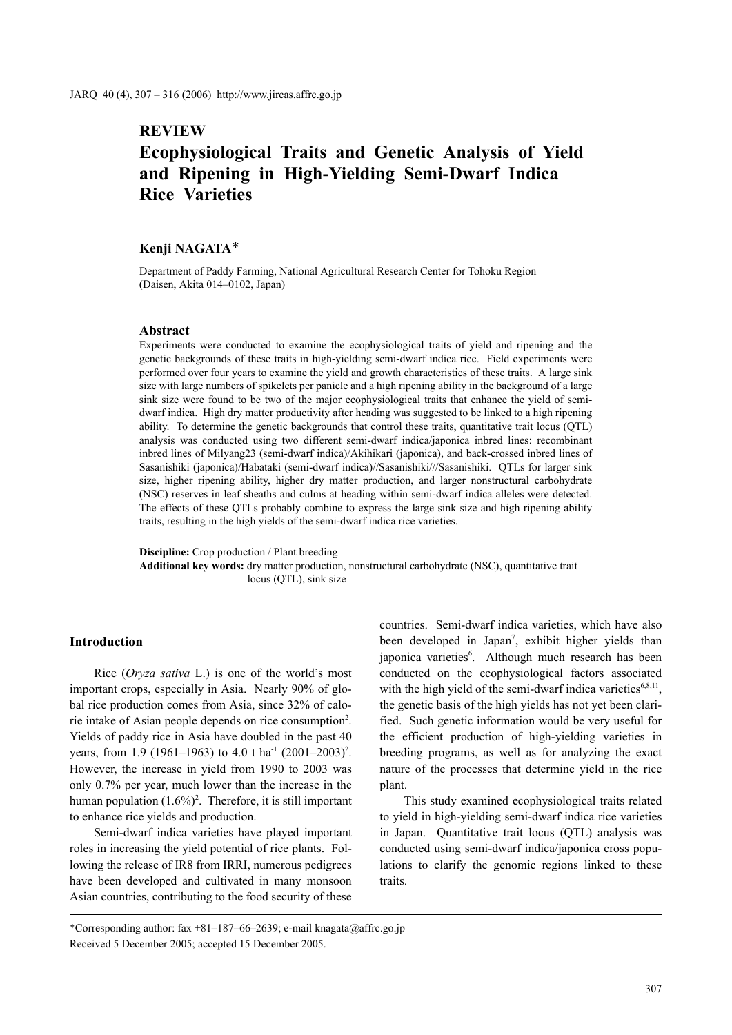## **REVIEW**

# **Ecophysiological Traits and Genetic Analysis of Yield and Ripening in High-Yielding Semi-Dwarf Indica Rice Varieties**

## **Kenji NAGATA**\*

Department of Paddy Farming, National Agricultural Research Center for Tohoku Region (Daisen, Akita 014–0102, Japan)

#### **Abstract**

Experiments were conducted to examine the ecophysiological traits of yield and ripening and the genetic backgrounds of these traits in high-yielding semi-dwarf indica rice. Field experiments were performed over four years to examine the yield and growth characteristics of these traits. A large sink size with large numbers of spikelets per panicle and a high ripening ability in the background of a large sink size were found to be two of the major ecophysiological traits that enhance the yield of semidwarf indica. High dry matter productivity after heading was suggested to be linked to a high ripening ability. To determine the genetic backgrounds that control these traits, quantitative trait locus (QTL) analysis was conducted using two different semi-dwarf indica/japonica inbred lines: recombinant inbred lines of Milyang23 (semi-dwarf indica)/Akihikari (japonica), and back-crossed inbred lines of Sasanishiki (japonica)/Habataki (semi-dwarf indica)//Sasanishiki///Sasanishiki. QTLs for larger sink size, higher ripening ability, higher dry matter production, and larger nonstructural carbohydrate (NSC) reserves in leaf sheaths and culms at heading within semi-dwarf indica alleles were detected. The effects of these QTLs probably combine to express the large sink size and high ripening ability traits, resulting in the high yields of the semi-dwarf indica rice varieties.

**Discipline:** Crop production / Plant breeding **Additional key words:** dry matter production, nonstructural carbohydrate (NSC), quantitative trait locus (QTL), sink size

#### **Introduction**

Rice (*Oryza sativa* L.) is one of the world's most important crops, especially in Asia. Nearly 90% of global rice production comes from Asia, since 32% of calorie intake of Asian people depends on rice consumption<sup>2</sup>. Yields of paddy rice in Asia have doubled in the past 40 years, from 1.9 (1961–1963) to 4.0 t ha<sup>-1</sup> (2001–2003)<sup>2</sup>. However, the increase in yield from 1990 to 2003 was only 0.7% per year, much lower than the increase in the human population  $(1.6\%)^2$ . Therefore, it is still important to enhance rice yields and production.

Semi-dwarf indica varieties have played important roles in increasing the yield potential of rice plants. Following the release of IR8 from IRRI, numerous pedigrees have been developed and cultivated in many monsoon Asian countries, contributing to the food security of these countries. Semi-dwarf indica varieties, which have also been developed in Japan<sup>7</sup>, exhibit higher yields than japonica varieties<sup>6</sup>. Although much research has been conducted on the ecophysiological factors associated with the high yield of the semi-dwarf indica varieties $6,8,11$ , the genetic basis of the high yields has not yet been clarified. Such genetic information would be very useful for the efficient production of high-yielding varieties in breeding programs, as well as for analyzing the exact nature of the processes that determine yield in the rice plant.

This study examined ecophysiological traits related to yield in high-yielding semi-dwarf indica rice varieties in Japan. Quantitative trait locus (QTL) analysis was conducted using semi-dwarf indica/japonica cross populations to clarify the genomic regions linked to these traits.

<sup>\*</sup>Corresponding author: fax +81–187–66–2639; e-mail knagata@affrc.go.jp Received 5 December 2005; accepted 15 December 2005.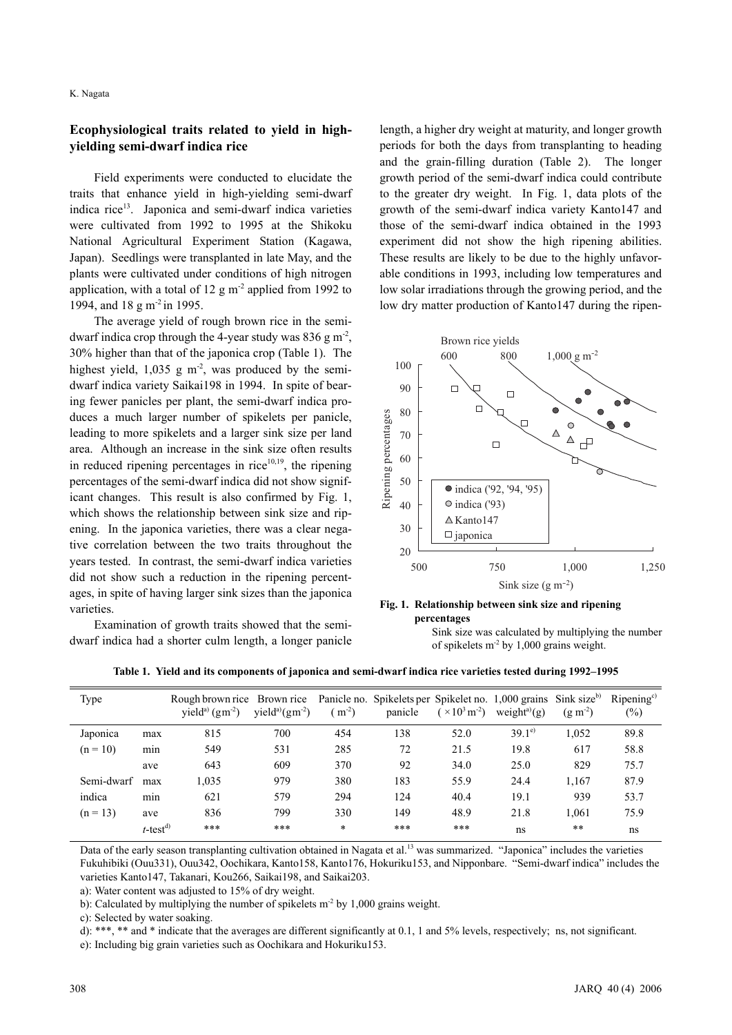## **Ecophysiological traits related to yield in highyielding semi-dwarf indica rice**

Field experiments were conducted to elucidate the traits that enhance yield in high-yielding semi-dwarf indica rice<sup>13</sup>. Japonica and semi-dwarf indica varieties were cultivated from 1992 to 1995 at the Shikoku National Agricultural Experiment Station (Kagawa, Japan). Seedlings were transplanted in late May, and the plants were cultivated under conditions of high nitrogen application, with a total of 12 g m<sup>-2</sup> applied from 1992 to 1994, and 18 g m<sup>-2</sup> in 1995.

The average yield of rough brown rice in the semidwarf indica crop through the 4-year study was  $836 \text{ g m}^2$ , 30% higher than that of the japonica crop (Table 1). The highest yield,  $1,035$  g m<sup>-2</sup>, was produced by the semidwarf indica variety Saikai198 in 1994. In spite of bearing fewer panicles per plant, the semi-dwarf indica produces a much larger number of spikelets per panicle, leading to more spikelets and a larger sink size per land area. Although an increase in the sink size often results in reduced ripening percentages in rice $10,19$ , the ripening percentages of the semi-dwarf indica did not show significant changes. This result is also confirmed by Fig. 1, which shows the relationship between sink size and ripening. In the japonica varieties, there was a clear negative correlation between the two traits throughout the years tested. In contrast, the semi-dwarf indica varieties did not show such a reduction in the ripening percentages, in spite of having larger sink sizes than the japonica varieties.

Examination of growth traits showed that the semidwarf indica had a shorter culm length, a longer panicle length, a higher dry weight at maturity, and longer growth periods for both the days from transplanting to heading and the grain-filling duration (Table 2). The longer growth period of the semi-dwarf indica could contribute to the greater dry weight. In Fig. 1, data plots of the growth of the semi-dwarf indica variety Kanto147 and those of the semi-dwarf indica obtained in the 1993 experiment did not show the high ripening abilities. These results are likely to be due to the highly unfavorable conditions in 1993, including low temperatures and low solar irradiations through the growing period, and the low dry matter production of Kanto147 during the ripen-



**Fig. 1. Relationship between sink size and ripening percentages** 

Sink size was calculated by multiplying the number of spikelets m-2 by 1,000 grains weight.

**Table 1. Yield and its components of japonica and semi-dwarf indica rice varieties tested during 1992–1995**

| Type       |                         | Rough brown rice Brown rice<br>yield <sup>a)</sup> $(gm^{-2})$ | yield <sup>a)</sup> $(gm-2)$ | $m^{-2}$ | Panicle no. Spikelets per Spikelet no. 1,000 grains Sink size <sup>b)</sup><br>panicle | $(\times 10^3 \,\rm m^{-2})$ | weight <sup>a)</sup> $(g)$ | $(g m-2)$ | Ripening <sup>c</sup><br>$(\%)$ |
|------------|-------------------------|----------------------------------------------------------------|------------------------------|----------|----------------------------------------------------------------------------------------|------------------------------|----------------------------|-----------|---------------------------------|
| Japonica   | max                     | 815                                                            | 700                          | 454      | 138                                                                                    | 52.0                         | $39.1^{\circ}$             | 1,052     | 89.8                            |
| $(n = 10)$ | min                     | 549                                                            | 531                          | 285      | 72                                                                                     | 21.5                         | 19.8                       | 617       | 58.8                            |
|            | ave                     | 643                                                            | 609                          | 370      | 92                                                                                     | 34.0                         | 25.0                       | 829       | 75.7                            |
| Semi-dwarf | max                     | 1,035                                                          | 979                          | 380      | 183                                                                                    | 55.9                         | 24.4                       | 1,167     | 87.9                            |
| indica     | min                     | 621                                                            | 579                          | 294      | 124                                                                                    | 40.4                         | 19.1                       | 939       | 53.7                            |
| $(n = 13)$ | ave                     | 836                                                            | 799                          | 330      | 149                                                                                    | 48.9                         | 21.8                       | 1.061     | 75.9                            |
|            | $t$ -test <sup>d)</sup> | ***                                                            | ***                          | $\ast$   | $***$                                                                                  | ***                          | ns                         | $* *$     | ns                              |

Data of the early season transplanting cultivation obtained in Nagata et al.<sup>13</sup> was summarized. "Japonica" includes the varieties Fukuhibiki (Ouu331), Ouu342, Oochikara, Kanto158, Kanto176, Hokuriku153, and Nipponbare. "Semi-dwarf indica" includes the varieties Kanto147, Takanari, Kou266, Saikai198, and Saikai203.

a): Water content was adjusted to 15% of dry weight.

b): Calculated by multiplying the number of spikelets m<sup>-2</sup> by 1,000 grains weight.

c): Selected by water soaking.

d): \*\*\*, \*\* and \* indicate that the averages are different significantly at 0.1, 1 and 5% levels, respectively; ns, not significant.

e): Including big grain varieties such as Oochikara and Hokuriku153.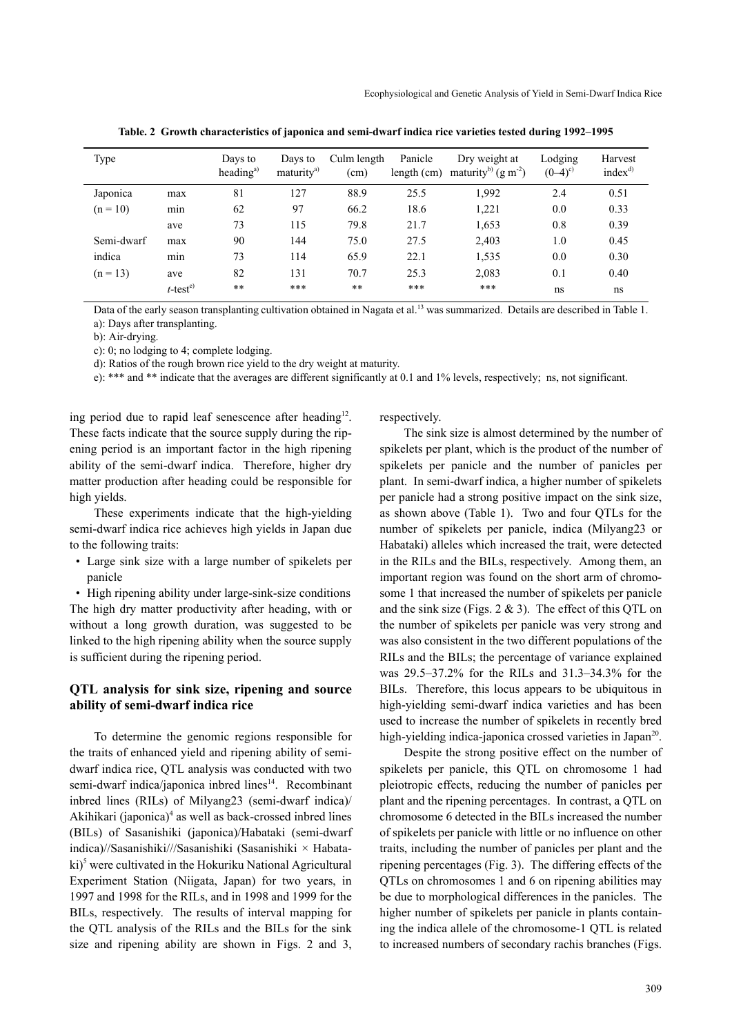| Type       |                         | Days to<br>heading <sup>a)</sup> | Days to<br>maturity <sup>a)</sup> | Culm length<br>(cm) | Panicle<br>length (cm) | Dry weight at<br>maturity <sup>b)</sup> $(g m-2)$ | Lodging<br>$(0-4)^{c}$ | Harvest<br>index <sup>d</sup> |
|------------|-------------------------|----------------------------------|-----------------------------------|---------------------|------------------------|---------------------------------------------------|------------------------|-------------------------------|
| Japonica   | max                     | 81                               | 127                               | 88.9                | 25.5                   | 1,992                                             | 2.4                    | 0.51                          |
| $(n = 10)$ | min                     | 62                               | 97                                | 66.2                | 18.6                   | 1,221                                             | 0.0                    | 0.33                          |
|            | ave                     | 73                               | 115                               | 79.8                | 21.7                   | 1,653                                             | 0.8                    | 0.39                          |
| Semi-dwarf | max                     | 90                               | 144                               | 75.0                | 27.5                   | 2,403                                             | 1.0                    | 0.45                          |
| indica     | min                     | 73                               | 114                               | 65.9                | 22.1                   | 1,535                                             | 0.0                    | 0.30                          |
| $(n = 13)$ | ave                     | 82                               | 131                               | 70.7                | 25.3                   | 2,083                                             | 0.1                    | 0.40                          |
|            | $t$ -test <sup>e)</sup> | $**$                             | ***                               | $**$                | ***                    | ***                                               | ns                     | ns                            |

**Table. 2 Growth characteristics of japonica and semi-dwarf indica rice varieties tested during 1992–1995**

Data of the early season transplanting cultivation obtained in Nagata et al.<sup>13</sup> was summarized. Details are described in Table 1. a): Days after transplanting.

b): Air-drying.

c): 0; no lodging to 4; complete lodging.

d): Ratios of the rough brown rice yield to the dry weight at maturity.

e): \*\*\* and \*\* indicate that the averages are different significantly at 0.1 and 1% levels, respectively; ns, not significant.

ing period due to rapid leaf senescence after heading $12$ . These facts indicate that the source supply during the ripening period is an important factor in the high ripening ability of the semi-dwarf indica. Therefore, higher dry matter production after heading could be responsible for high yields.

These experiments indicate that the high-yielding semi-dwarf indica rice achieves high yields in Japan due to the following traits:

 • Large sink size with a large number of spikelets per panicle

 • High ripening ability under large-sink-size conditions The high dry matter productivity after heading, with or without a long growth duration, was suggested to be linked to the high ripening ability when the source supply is sufficient during the ripening period.

## **QTL analysis for sink size, ripening and source ability of semi-dwarf indica rice**

To determine the genomic regions responsible for the traits of enhanced yield and ripening ability of semidwarf indica rice, QTL analysis was conducted with two semi-dwarf indica/japonica inbred lines<sup>14</sup>. Recombinant inbred lines (RILs) of Milyang23 (semi-dwarf indica)/ Akihikari (japonica)<sup>4</sup> as well as back-crossed inbred lines (BILs) of Sasanishiki (japonica)/Habataki (semi-dwarf indica)//Sasanishiki///Sasanishiki (Sasanishiki × Habataki)<sup>5</sup> were cultivated in the Hokuriku National Agricultural Experiment Station (Niigata, Japan) for two years, in 1997 and 1998 for the RILs, and in 1998 and 1999 for the BILs, respectively. The results of interval mapping for the QTL analysis of the RILs and the BILs for the sink size and ripening ability are shown in Figs. 2 and 3, respectively.

The sink size is almost determined by the number of spikelets per plant, which is the product of the number of spikelets per panicle and the number of panicles per plant. In semi-dwarf indica, a higher number of spikelets per panicle had a strong positive impact on the sink size, as shown above (Table 1). Two and four QTLs for the number of spikelets per panicle, indica (Milyang23 or Habataki) alleles which increased the trait, were detected in the RILs and the BILs, respectively. Among them, an important region was found on the short arm of chromosome 1 that increased the number of spikelets per panicle and the sink size (Figs.  $2 \& 3$ ). The effect of this QTL on the number of spikelets per panicle was very strong and was also consistent in the two different populations of the RILs and the BILs; the percentage of variance explained was 29.5–37.2% for the RILs and 31.3–34.3% for the BILs. Therefore, this locus appears to be ubiquitous in high-yielding semi-dwarf indica varieties and has been used to increase the number of spikelets in recently bred high-yielding indica-japonica crossed varieties in Japan<sup>20</sup>.

Despite the strong positive effect on the number of spikelets per panicle, this QTL on chromosome 1 had pleiotropic effects, reducing the number of panicles per plant and the ripening percentages. In contrast, a QTL on chromosome 6 detected in the BILs increased the number of spikelets per panicle with little or no influence on other traits, including the number of panicles per plant and the ripening percentages (Fig. 3). The differing effects of the QTLs on chromosomes 1 and 6 on ripening abilities may be due to morphological differences in the panicles. The higher number of spikelets per panicle in plants containing the indica allele of the chromosome-1 QTL is related to increased numbers of secondary rachis branches (Figs.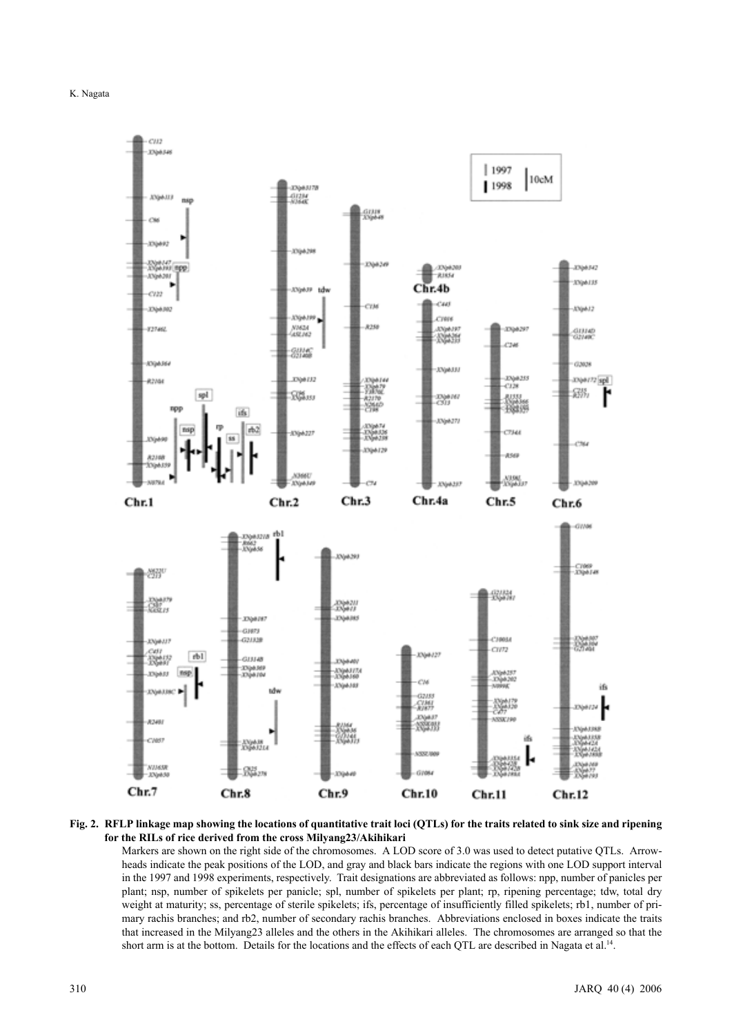



#### **Fig. 2. RFLP linkage map showing the locations of quantitative trait loci (QTLs) for the traits related to sink size and ripening for the RILs of rice derived from the cross Milyang23/Akihikari**

Markers are shown on the right side of the chromosomes. A LOD score of 3.0 was used to detect putative QTLs. Arrowheads indicate the peak positions of the LOD, and gray and black bars indicate the regions with one LOD support interval in the 1997 and 1998 experiments, respectively. Trait designations are abbreviated as follows: npp, number of panicles per plant; nsp, number of spikelets per panicle; spl, number of spikelets per plant; rp, ripening percentage; tdw, total dry weight at maturity; ss, percentage of sterile spikelets; ifs, percentage of insufficiently filled spikelets; rb1, number of primary rachis branches; and rb2, number of secondary rachis branches. Abbreviations enclosed in boxes indicate the traits that increased in the Milyang23 alleles and the others in the Akihikari alleles. The chromosomes are arranged so that the short arm is at the bottom. Details for the locations and the effects of each QTL are described in Nagata et al.<sup>14</sup>.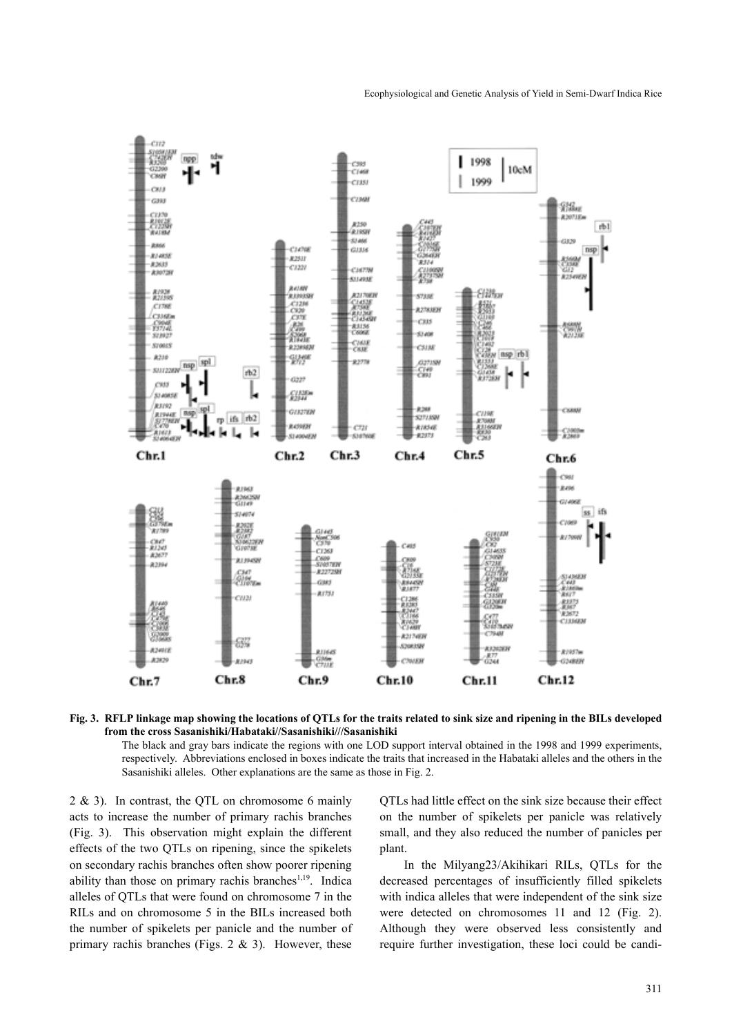

**Fig. 3. RFLP linkage map showing the locations of QTLs for the traits related to sink size and ripening in the BILs developed from the cross Sasanishiki/Habataki//Sasanishiki///Sasanishiki** 

The black and gray bars indicate the regions with one LOD support interval obtained in the 1998 and 1999 experiments, respectively. Abbreviations enclosed in boxes indicate the traits that increased in the Habataki alleles and the others in the Sasanishiki alleles. Other explanations are the same as those in Fig. 2.

2 & 3). In contrast, the QTL on chromosome 6 mainly acts to increase the number of primary rachis branches (Fig. 3). This observation might explain the different effects of the two QTLs on ripening, since the spikelets on secondary rachis branches often show poorer ripening ability than those on primary rachis branches<sup>1,19</sup>. Indica alleles of QTLs that were found on chromosome 7 in the RILs and on chromosome 5 in the BILs increased both the number of spikelets per panicle and the number of primary rachis branches (Figs.  $2 \& 3$ ). However, these QTLs had little effect on the sink size because their effect on the number of spikelets per panicle was relatively small, and they also reduced the number of panicles per plant.

In the Milyang23/Akihikari RILs, QTLs for the decreased percentages of insufficiently filled spikelets with indica alleles that were independent of the sink size were detected on chromosomes 11 and 12 (Fig. 2). Although they were observed less consistently and require further investigation, these loci could be candi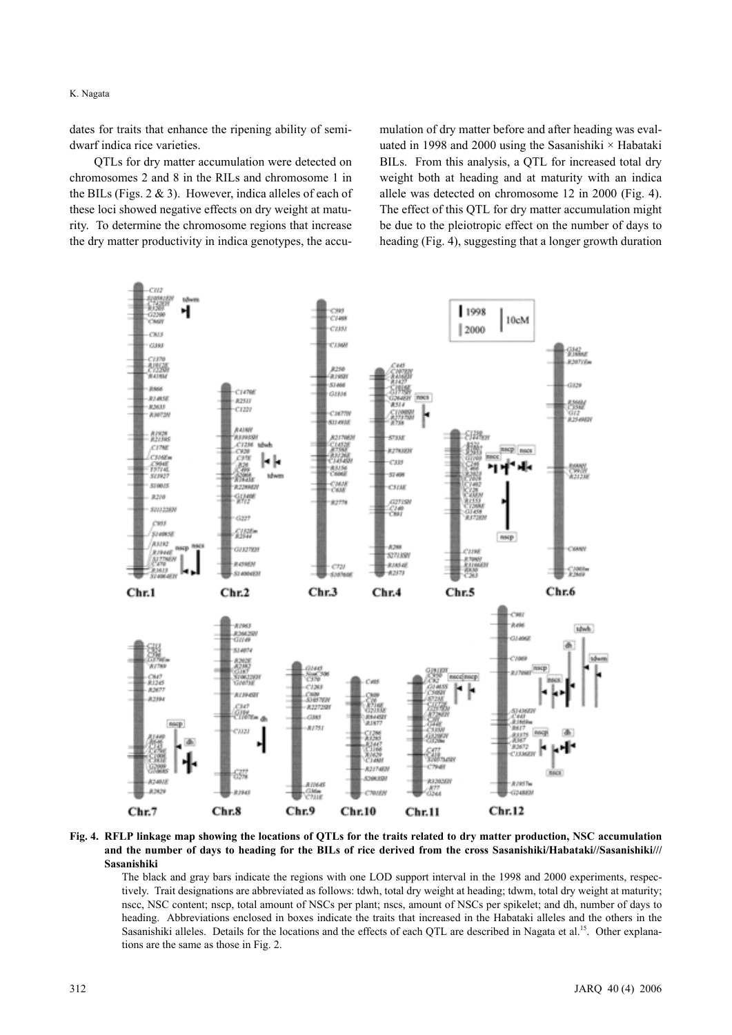K. Nagata

dates for traits that enhance the ripening ability of semidwarf indica rice varieties.

QTLs for dry matter accumulation were detected on chromosomes 2 and 8 in the RILs and chromosome 1 in the BILs (Figs.  $2 \& 3$ ). However, indica alleles of each of these loci showed negative effects on dry weight at maturity. To determine the chromosome regions that increase the dry matter productivity in indica genotypes, the accumulation of dry matter before and after heading was evaluated in 1998 and 2000 using the Sasanishiki  $\times$  Habataki BILs. From this analysis, a QTL for increased total dry weight both at heading and at maturity with an indica allele was detected on chromosome 12 in 2000 (Fig. 4). The effect of this QTL for dry matter accumulation might be due to the pleiotropic effect on the number of days to heading (Fig. 4), suggesting that a longer growth duration



**Fig. 4. RFLP linkage map showing the locations of QTLs for the traits related to dry matter production, NSC accumulation and the number of days to heading for the BILs of rice derived from the cross Sasanishiki/Habataki//Sasanishiki/// Sasanishiki** 

The black and gray bars indicate the regions with one LOD support interval in the 1998 and 2000 experiments, respectively. Trait designations are abbreviated as follows: tdwh, total dry weight at heading; tdwm, total dry weight at maturity; nscc, NSC content; nscp, total amount of NSCs per plant; nscs, amount of NSCs per spikelet; and dh, number of days to heading. Abbreviations enclosed in boxes indicate the traits that increased in the Habataki alleles and the others in the Sasanishiki alleles. Details for the locations and the effects of each QTL are described in Nagata et al.<sup>15</sup>. Other explanations are the same as those in Fig. 2.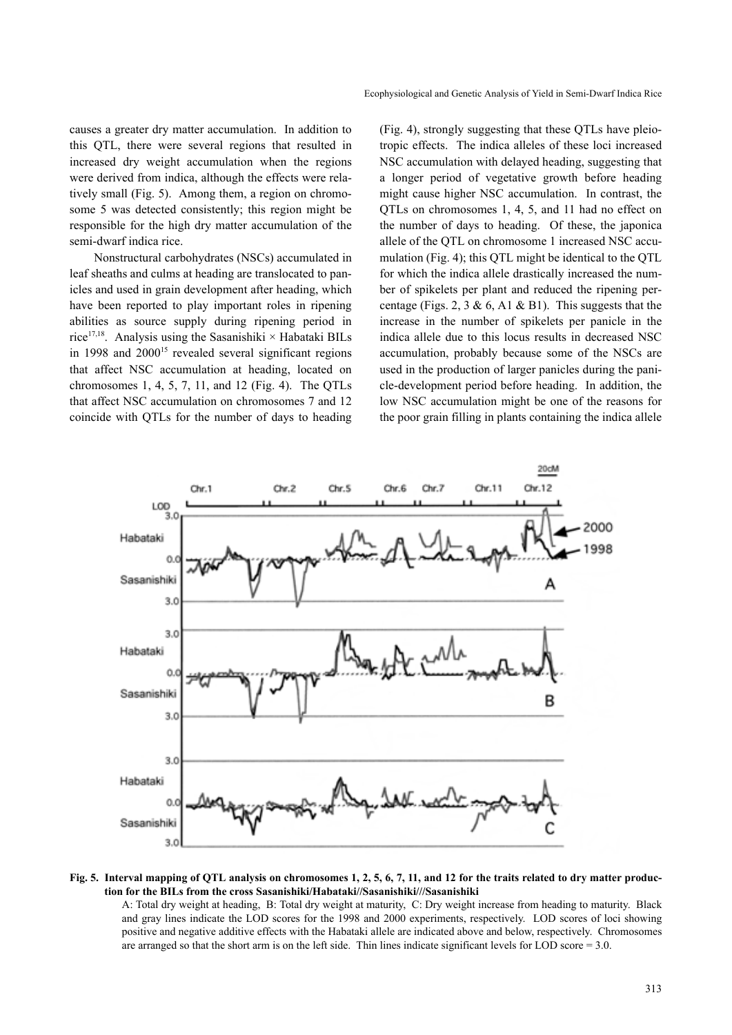causes a greater dry matter accumulation. In addition to this QTL, there were several regions that resulted in increased dry weight accumulation when the regions were derived from indica, although the effects were relatively small (Fig. 5). Among them, a region on chromosome 5 was detected consistently; this region might be responsible for the high dry matter accumulation of the semi-dwarf indica rice.

Nonstructural carbohydrates (NSCs) accumulated in leaf sheaths and culms at heading are translocated to panicles and used in grain development after heading, which have been reported to play important roles in ripening abilities as source supply during ripening period in rice<sup>17,18</sup>. Analysis using the Sasanishiki × Habataki BILs in 1998 and  $2000^{15}$  revealed several significant regions that affect NSC accumulation at heading, located on chromosomes 1, 4, 5, 7, 11, and 12 (Fig. 4). The QTLs that affect NSC accumulation on chromosomes 7 and 12 coincide with QTLs for the number of days to heading (Fig. 4), strongly suggesting that these QTLs have pleiotropic effects. The indica alleles of these loci increased NSC accumulation with delayed heading, suggesting that a longer period of vegetative growth before heading might cause higher NSC accumulation. In contrast, the QTLs on chromosomes 1, 4, 5, and 11 had no effect on the number of days to heading. Of these, the japonica allele of the QTL on chromosome 1 increased NSC accumulation (Fig. 4); this QTL might be identical to the QTL for which the indica allele drastically increased the number of spikelets per plant and reduced the ripening percentage (Figs. 2, 3 & 6, A1 & B1). This suggests that the increase in the number of spikelets per panicle in the indica allele due to this locus results in decreased NSC accumulation, probably because some of the NSCs are used in the production of larger panicles during the panicle-development period before heading. In addition, the low NSC accumulation might be one of the reasons for the poor grain filling in plants containing the indica allele



#### **Fig. 5. Interval mapping of QTL analysis on chromosomes 1, 2, 5, 6, 7, 11, and 12 for the traits related to dry matter production for the BILs from the cross Sasanishiki/Habataki//Sasanishiki///Sasanishiki**

A: Total dry weight at heading, B: Total dry weight at maturity, C: Dry weight increase from heading to maturity. Black and gray lines indicate the LOD scores for the 1998 and 2000 experiments, respectively. LOD scores of loci showing positive and negative additive effects with the Habataki allele are indicated above and below, respectively. Chromosomes are arranged so that the short arm is on the left side. Thin lines indicate significant levels for LOD score  $= 3.0$ .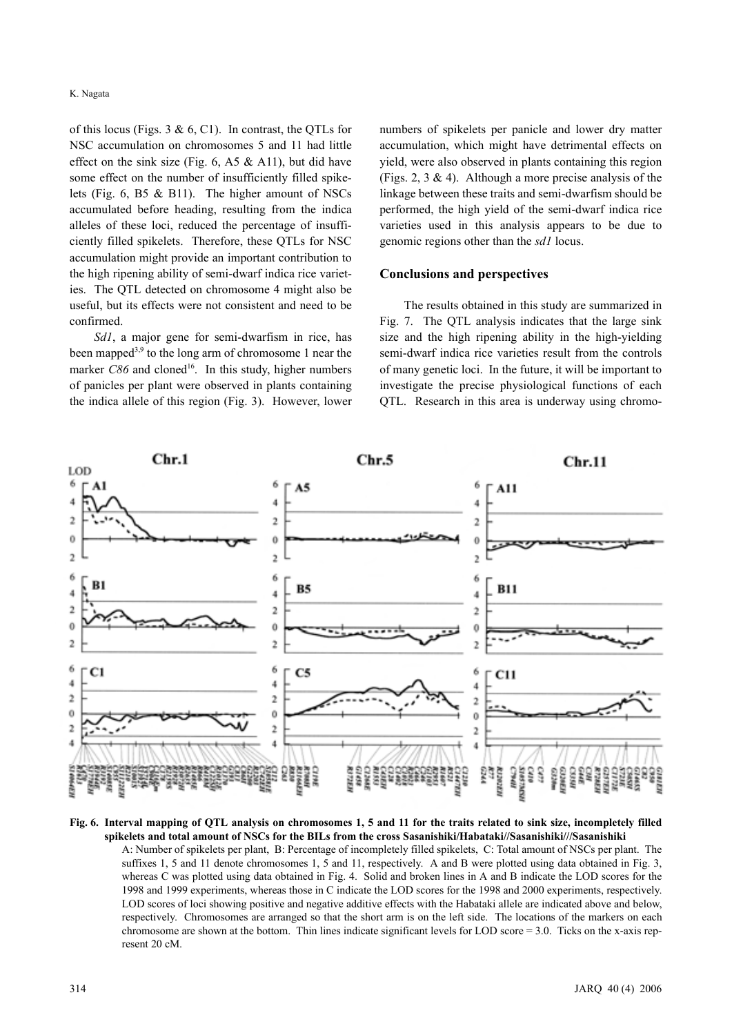of this locus (Figs.  $3 \& 6$ , C1). In contrast, the OTLs for NSC accumulation on chromosomes 5 and 11 had little effect on the sink size (Fig. 6, A5  $\&$  A11), but did have some effect on the number of insufficiently filled spikelets (Fig. 6, B5 & B11). The higher amount of NSCs accumulated before heading, resulting from the indica alleles of these loci, reduced the percentage of insufficiently filled spikelets. Therefore, these QTLs for NSC accumulation might provide an important contribution to the high ripening ability of semi-dwarf indica rice varieties. The QTL detected on chromosome 4 might also be useful, but its effects were not consistent and need to be confirmed.

*Sd1*, a major gene for semi-dwarfism in rice, has been mapped<sup>3,9</sup> to the long arm of chromosome 1 near the marker  $C86$  and cloned<sup>16</sup>. In this study, higher numbers of panicles per plant were observed in plants containing the indica allele of this region (Fig. 3). However, lower numbers of spikelets per panicle and lower dry matter accumulation, which might have detrimental effects on yield, were also observed in plants containing this region (Figs. 2, 3  $\&$  4). Although a more precise analysis of the linkage between these traits and semi-dwarfism should be performed, the high yield of the semi-dwarf indica rice varieties used in this analysis appears to be due to genomic regions other than the *sd1* locus.

## **Conclusions and perspectives**

The results obtained in this study are summarized in Fig. 7. The QTL analysis indicates that the large sink size and the high ripening ability in the high-yielding semi-dwarf indica rice varieties result from the controls of many genetic loci. In the future, it will be important to investigate the precise physiological functions of each QTL. Research in this area is underway using chromo-



**Fig. 6. Interval mapping of QTL analysis on chromosomes 1, 5 and 11 for the traits related to sink size, incompletely filled spikelets and total amount of NSCs for the BILs from the cross Sasanishiki/Habataki//Sasanishiki///Sasanishiki** 

A: Number of spikelets per plant, B: Percentage of incompletely filled spikelets, C: Total amount of NSCs per plant. The suffixes 1, 5 and 11 denote chromosomes 1, 5 and 11, respectively. A and B were plotted using data obtained in Fig. 3, whereas C was plotted using data obtained in Fig. 4. Solid and broken lines in A and B indicate the LOD scores for the 1998 and 1999 experiments, whereas those in C indicate the LOD scores for the 1998 and 2000 experiments, respectively. LOD scores of loci showing positive and negative additive effects with the Habataki allele are indicated above and below, respectively. Chromosomes are arranged so that the short arm is on the left side. The locations of the markers on each chromosome are shown at the bottom. Thin lines indicate significant levels for LOD score = 3.0. Ticks on the x-axis represent 20 cM.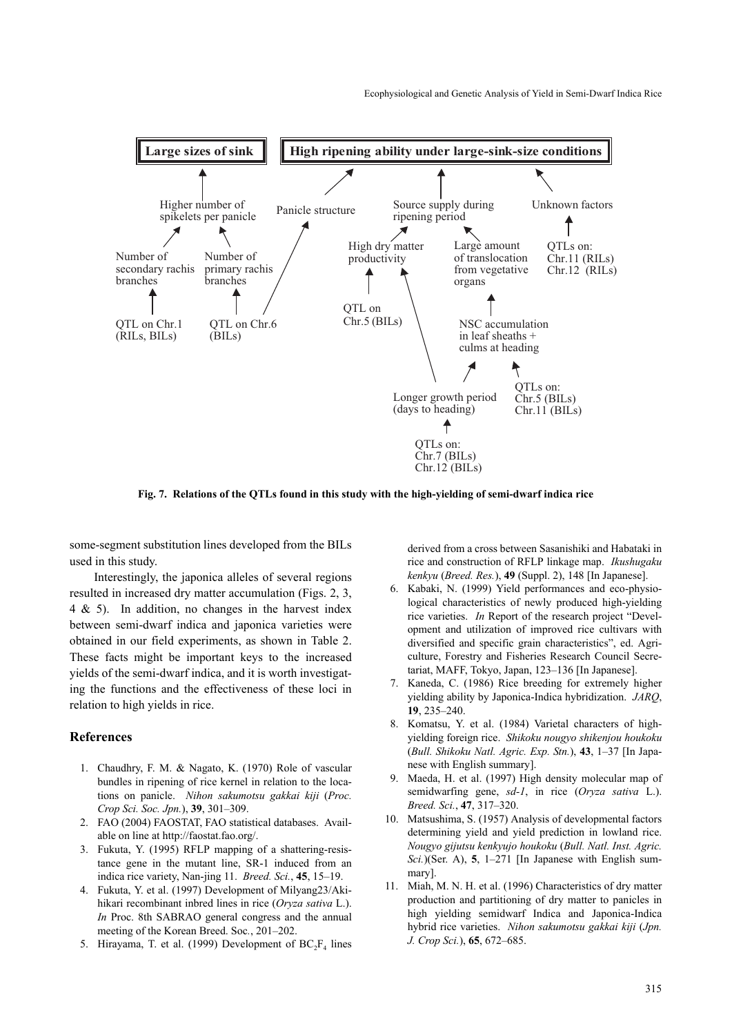

**Fig. 7. Relations of the QTLs found in this study with the high-yielding of semi-dwarf indica rice**

some-segment substitution lines developed from the BILs used in this study.

Interestingly, the japonica alleles of several regions resulted in increased dry matter accumulation (Figs. 2, 3, 4 & 5). In addition, no changes in the harvest index between semi-dwarf indica and japonica varieties were obtained in our field experiments, as shown in Table 2. These facts might be important keys to the increased yields of the semi-dwarf indica, and it is worth investigating the functions and the effectiveness of these loci in relation to high yields in rice.

### **References**

- 1. Chaudhry, F. M. & Nagato, K. (1970) Role of vascular bundles in ripening of rice kernel in relation to the locations on panicle. *Nihon sakumotsu gakkai kiji* (*Proc. Crop Sci. Soc. Jpn.*), **39**, 301–309.
- 2. FAO (2004) FAOSTAT, FAO statistical databases. Available on line at http://faostat.fao.org/.
- 3. Fukuta, Y. (1995) RFLP mapping of a shattering-resistance gene in the mutant line, SR-1 induced from an indica rice variety, Nan-jing 11. *Breed. Sci.*, **45**, 15–19.
- 4. Fukuta, Y. et al. (1997) Development of Milyang23/Akihikari recombinant inbred lines in rice (*Oryza sativa* L.). *In* Proc. 8th SABRAO general congress and the annual meeting of the Korean Breed. Soc*.*, 201–202.
- 5. Hirayama, T. et al. (1999) Development of  $BC_2F_4$  lines

derived from a cross between Sasanishiki and Habataki in rice and construction of RFLP linkage map. *Ikushugaku kenkyu* (*Breed. Res.*), **49** (Suppl. 2), 148 [In Japanese].

- 6. Kabaki, N. (1999) Yield performances and eco-physiological characteristics of newly produced high-yielding rice varieties. *In* Report of the research project "Development and utilization of improved rice cultivars with diversified and specific grain characteristics", ed. Agriculture, Forestry and Fisheries Research Council Secretariat, MAFF, Tokyo, Japan, 123–136 [In Japanese].
- 7. Kaneda, C. (1986) Rice breeding for extremely higher yielding ability by Japonica-Indica hybridization. *JARQ*, **19**, 235–240.
- 8. Komatsu, Y. et al. (1984) Varietal characters of highyielding foreign rice. *Shikoku nougyo shikenjou houkoku* (*Bull. Shikoku Natl. Agric. Exp. Stn.*), **43**, 1–37 [In Japanese with English summary].
- 9. Maeda, H. et al. (1997) High density molecular map of semidwarfing gene, *sd-1*, in rice (*Oryza sativa* L.). *Breed. Sci.*, **47**, 317–320.
- 10. Matsushima, S. (1957) Analysis of developmental factors determining yield and yield prediction in lowland rice. *Nougyo gijutsu kenkyujo houkoku* (*Bull. Natl. Inst. Agric. Sci.*)(Ser. A), **5**, 1–271 [In Japanese with English summary].
- 11. Miah, M. N. H. et al. (1996) Characteristics of dry matter production and partitioning of dry matter to panicles in high yielding semidwarf Indica and Japonica-Indica hybrid rice varieties. *Nihon sakumotsu gakkai kiji* (*Jpn. J. Crop Sci.*), **65**, 672–685.